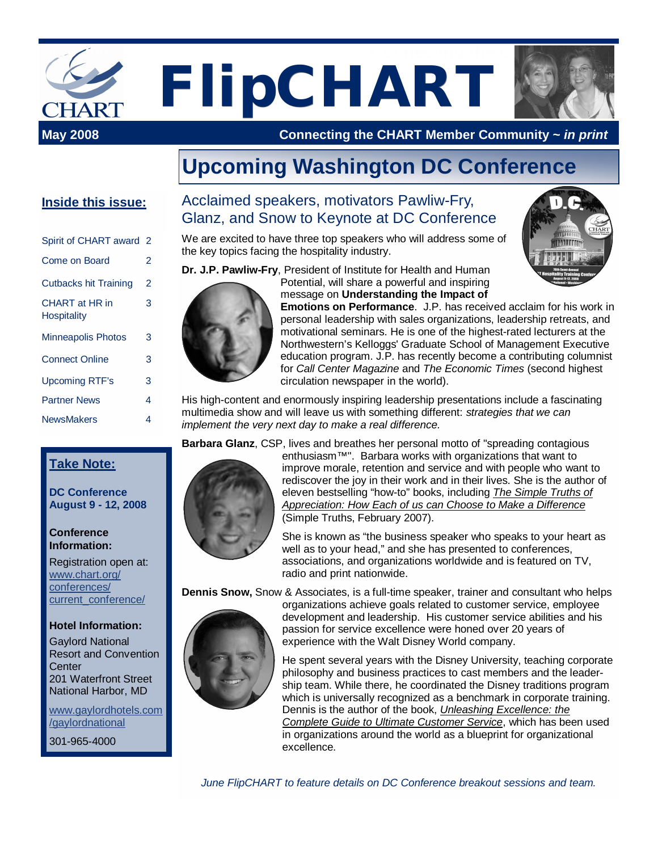

**FlipCHART May 2008 Connecting the Connecting the Connection** 



**May 2008 Connecting the CHART Member Community ~** *in print*

## **Upcoming Washington DC Conference**

#### **Inside this issue:**

| Spirit of CHART award 2                     |                |
|---------------------------------------------|----------------|
| Come on Board                               | 2              |
| <b>Cutbacks hit Training</b>                | $\overline{2}$ |
| <b>CHART</b> at HR in<br><b>Hospitality</b> | 3              |
| Minneapolis Photos                          | 3              |
| <b>Connect Online</b>                       | 3              |
| <b>Upcoming RTF's</b>                       | 3              |
| <b>Partner News</b>                         | 4              |
| <b>NewsMakers</b>                           | 4              |

#### **Take Note:**

**DC Conference August 9 - 12, 2008**

#### **Conference Information:**

Registration open at: [www.chart.org/](http://www.chart.org/) conferences/ current\_conference/

#### **Hotel Information:**

Gaylord National Resort and Convention **Center** 201 Waterfront Street National Harbor, MD

[www.gaylordhotels.com](http://www.gaylordhotels.com) /gaylordnational

301-965-4000

### Acclaimed speakers, motivators Pawliw-Fry, Glanz, and Snow to Keynote at DC Conference

We are excited to have three top speakers who will address some of the key topics facing the hospitality industry.

**Dr. J.P. Pawliw-Fry**, President of Institute for Health and Human



Potential, will share a powerful and inspiring message on **Understanding the Impact of**

**Emotions on Performance**. J.P. has received acclaim for his work in personal leadership with sales organizations, leadership retreats, and motivational seminars. He is one of the highest-rated lecturers at the Northwestern's Kelloggs' Graduate School of Management Executive education program. J.P. has recently become a contributing columnist for *Call Center Magazine* and *The Economic Times* (second highest circulation newspaper in the world).

His high-content and enormously inspiring leadership presentations include a fascinating multimedia show and will leave us with something different: *strategies that we can implement the very next day to make a real difference.*

**Barbara Glanz**, CSP, lives and breathes her personal motto of "spreading contagious



enthusiasm™". Barbara works with organizations that want to improve morale, retention and service and with people who want to rediscover the joy in their work and in their lives. She is the author of eleven bestselling "how-to" books, including *The Simple Truths of Appreciation: How Each of us can Choose to Make a Difference* (Simple Truths, February 2007).

She is known as "the business speaker who speaks to your heart as well as to your head," and she has presented to conferences, associations, and organizations worldwide and is featured on TV, radio and print nationwide.

**Dennis Snow,** Snow & Associates, is a full-time speaker, trainer and consultant who helps



organizations achieve goals related to customer service, employee development and leadership. His customer service abilities and his passion for service excellence were honed over 20 years of experience with the Walt Disney World company.

He spent several years with the Disney University, teaching corporate philosophy and business practices to cast members and the leadership team. While there, he coordinated the Disney traditions program which is universally recognized as a benchmark in corporate training. Dennis is the author of the book, *Unleashing Excellence: the Complete Guide to Ultimate Customer Service*, which has been used in organizations around the world as a blueprint for organizational excellence.

*June FlipCHART to feature details on DC Conference breakout sessions and team.*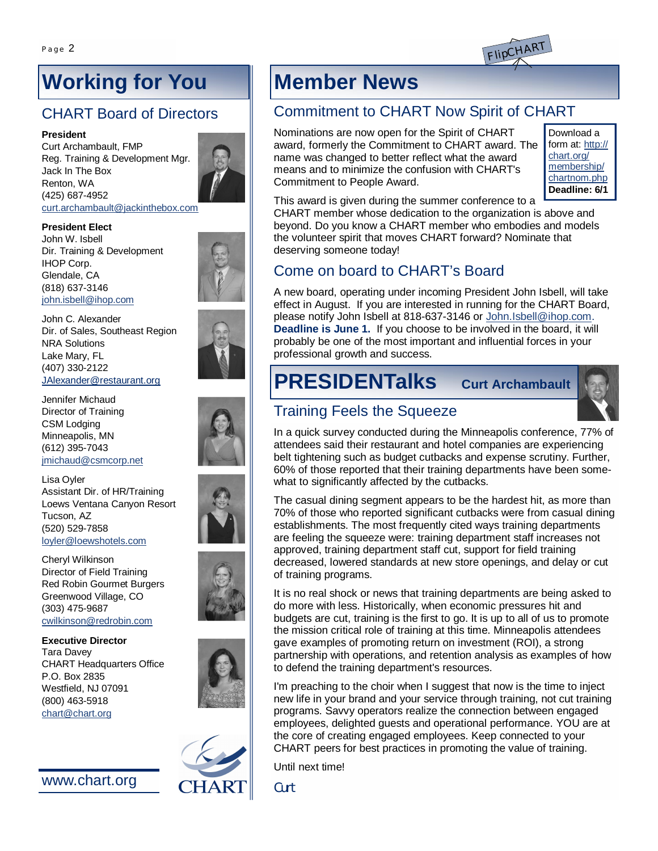

# **Working for You**

### CHART Board of Directors

#### **President**

Curt Archambault, FMP Reg. Training & Development Mgr. Jack In The Box Renton, WA (425) 687-4952 [curt.archambault@jackinthebox.com](mailto:curt.archambault@jackinthebox.com)



#### **President Elect**

John W. Isbell Dir. Training & Development IHOP Corp. Glendale, CA (818) 637-3146 [john.isbell@ihop.com](mailto:john.isbell@ihop.com)



John C. Alexander Dir. of Sales, Southeast Region NRA Solutions Lake Mary, FL (407) 330-2122 [JAlexander@restaurant.org](mailto:JAlexander@restaurant.org)

Jennifer Michaud Director of Training CSM Lodging Minneapolis, MN (612) 395-7043 [jmichaud@csmcorp.net](mailto:jmichaud@csmcorp.net)

Lisa Oyler Assistant Dir. of HR/Training Loews Ventana Canyon Resort Tucson, AZ (520) 529-7858 [loyler@loewshotels.com](mailto:loyler@loewshotels.com)

Cheryl Wilkinson Director of Field Training Red Robin Gourmet Burgers Greenwood Village, CO (303) 475-9687 [cwilkinson@redrobin.com](mailto:cwilkinson@redrobin.com)

**Executive Director** Tara Davey CHART Headquarters Office P.O. Box 2835 Westfield, NJ 07091 (800) 463-5918 [chart@chart.org](mailto:chart@chart.org)

[www.chart.org](http://www.chart.org)



# **Member News**

### Commitment to CHART Now Spirit of CHART

Nominations are now open for the Spirit of CHART award, formerly the Commitment to CHART award. The name was changed to better reflect what the award means and to minimize the confusion with CHART's Commitment to People Award.

Download a form at: http:// chart.org/ membership/ chartnom.php **Deadline: 6/1**

This award is given during the summer conference to a

CHART member whose dedication to the organization is above and beyond. Do you know a CHART member who embodies and models the volunteer spirit that moves CHART forward? Nominate that deserving someone today!

### Come on board to CHART's Board

A new board, operating under incoming President John Isbell, will take effect in August. If you are interested in running for the CHART Board, please notify John Isbell at 818-637-3146 or [John.Isbell@ihop.com.](mailto:John.Isbell@ihop.com) **Deadline is June 1.** If you choose to be involved in the board, it will probably be one of the most important and influential forces in your professional growth and success.

# **PRESIDENTalks Curt Archambault**

### Training Feels the Squeeze

In a quick survey conducted during the Minneapolis conference, 77% of attendees said their restaurant and hotel companies are experiencing belt tightening such as budget cutbacks and expense scrutiny. Further, 60% of those reported that their training departments have been somewhat to significantly affected by the cutbacks.

The casual dining segment appears to be the hardest hit, as more than 70% of those who reported significant cutbacks were from casual dining establishments. The most frequently cited ways training departments are feeling the squeeze were: training department staff increases not approved, training department staff cut, support for field training decreased, lowered standards at new store openings, and delay or cut of training programs.

It is no real shock or news that training departments are being asked to do more with less. Historically, when economic pressures hit and budgets are cut, training is the first to go. It is up to all of us to promote the mission critical role of training at this time. Minneapolis attendees gave examples of promoting return on investment (ROI), a strong partnership with operations, and retention analysis as examples of how to defend the training department's resources.

I'm preaching to the choir when I suggest that now is the time to inject new life in your brand and your service through training, not cut training programs. Savvy operators realize the connection between engaged employees, delighted guests and operational performance. YOU are at the core of creating engaged employees. Keep connected to your CHART peers for best practices in promoting the value of training.

Until next time!

**Curt**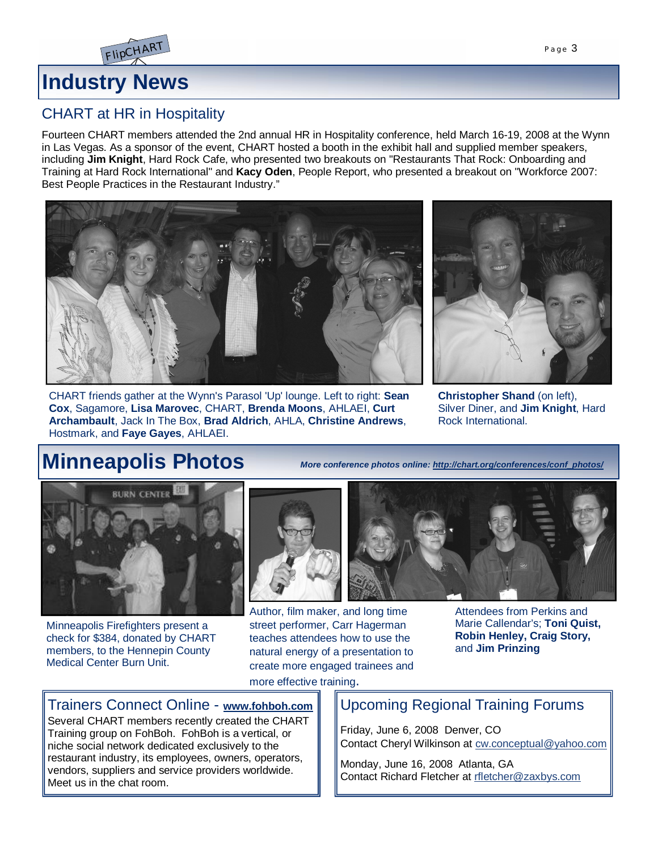

### CHART at HR in Hospitality

FlipCHAR<sup>T</sup>

Fourteen CHART members attended the 2nd annual HR in Hospitality conference, held March 16-19, 2008 at the Wynn in Las Vegas. As a sponsor of the event, CHART hosted a booth in the exhibit hall and supplied member speakers, including **Jim Knight**, Hard Rock Cafe, who presented two breakouts on "Restaurants That Rock: Onboarding and Training at Hard Rock International" and **Kacy Oden**, People Report, who presented a breakout on "Workforce 2007: Best People Practices in the Restaurant Industry."



CHART friends gather at the Wynn's Parasol 'Up' lounge. Left to right: **Sean Cox**, Sagamore, **Lisa Marovec**, CHART, **Brenda Moons**, AHLAEI, **Curt Archambault**, Jack In The Box, **Brad Aldrich**, AHLA, **Christine Andrews**, Hostmark, and **Faye Gayes**, AHLAEI.



**Christopher Shand** (on left), Silver Diner, and **Jim Knight**, Hard Rock International.

## **Minneapolis Photos**

*More conference photos online: [http://chart.org/conferences/conf\\_photos/](http://chart.org/conferences/conf_photos/)*



Minneapolis Firefighters present a check for \$384, donated by CHART members, to the Hennepin County Medical Center Burn Unit.



Author, film maker, and long time street performer, Carr Hagerman teaches attendees how to use the natural energy of a presentation to create more engaged trainees and



Attendees from Perkins and Marie Callendar's; **Toni Quist, Robin Henley, Craig Story,** and **Jim Prinzing**

more effective training.

#### Trainers Connect Online - **[www.fohboh.com](http://www.fohboh.com)**

Several CHART members recently created the CHART Training group on FohBoh. FohBoh is a vertical, or niche social network dedicated exclusively to the restaurant industry, its employees, owners, operators, vendors, suppliers and service providers worldwide. Meet us in the chat room.

### Upcoming Regional Training Forums

Friday, June 6, 2008 Denver, CO Contact Cheryl Wilkinson at [cw.conceptual@yahoo.com](mailto:cw.conceptual@yahoo.com)

Monday, June 16, 2008 Atlanta, GA Contact Richard Fletcher at [rfletcher@zaxbys.com](mailto:rfletcher@zaxbys.com)